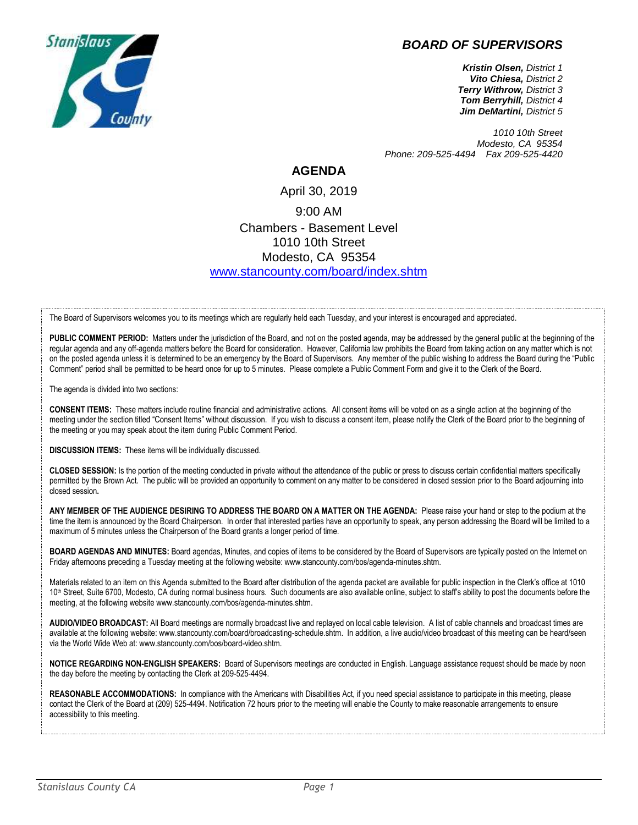## *BOARD OF SUPERVISORS*



*Kristin Olsen, District 1 Vito Chiesa, District 2 Terry Withrow, District 3 Tom Berryhill, District 4 Jim DeMartini, District 5*

*1010 10th Street Modesto, CA 95354 Phone: 209-525-4494 Fax 209-525-4420*

## **AGENDA**

## April 30, 2019 9:00 AM Chambers - Basement Level 1010 10th Street Modesto, CA 95354 [www.stancounty.com/board/index.shtm](http://www.stancounty.com/board/index.shtm)

The Board of Supervisors welcomes you to its meetings which are regularly held each Tuesday, and your interest is encouraged and appreciated.

PUBLIC COMMENT PERIOD: Matters under the jurisdiction of the Board, and not on the posted agenda, may be addressed by the general public at the beginning of the regular agenda and any off-agenda matters before the Board for consideration. However, California law prohibits the Board from taking action on any matter which is not on the posted agenda unless it is determined to be an emergency by the Board of Supervisors. Any member of the public wishing to address the Board during the "Public Comment" period shall be permitted to be heard once for up to 5 minutes. Please complete a Public Comment Form and give it to the Clerk of the Board.

The agenda is divided into two sections:

**CONSENT ITEMS:** These matters include routine financial and administrative actions. All consent items will be voted on as a single action at the beginning of the meeting under the section titled "Consent Items" without discussion. If you wish to discuss a consent item, please notify the Clerk of the Board prior to the beginning of the meeting or you may speak about the item during Public Comment Period.

**DISCUSSION ITEMS:** These items will be individually discussed.

**CLOSED SESSION:** Is the portion of the meeting conducted in private without the attendance of the public or press to discuss certain confidential matters specifically permitted by the Brown Act. The public will be provided an opportunity to comment on any matter to be considered in closed session prior to the Board adjourning into closed session**.**

**ANY MEMBER OF THE AUDIENCE DESIRING TO ADDRESS THE BOARD ON A MATTER ON THE AGENDA:** Please raise your hand or step to the podium at the time the item is announced by the Board Chairperson. In order that interested parties have an opportunity to speak, any person addressing the Board will be limited to a maximum of 5 minutes unless the Chairperson of the Board grants a longer period of time.

**BOARD AGENDAS AND MINUTES:** Board agendas, Minutes, and copies of items to be considered by the Board of Supervisors are typically posted on the Internet on Friday afternoons preceding a Tuesday meeting at the following website: www.stancounty.com/bos/agenda-minutes.shtm.

Materials related to an item on this Agenda submitted to the Board after distribution of the agenda packet are available for public inspection in the Clerk's office at 1010 10<sup>th</sup> Street, Suite 6700, Modesto, CA during normal business hours. Such documents are also available online, subject to staff's ability to post the documents before the meeting, at the following website www.stancounty.com/bos/agenda-minutes.shtm.

**AUDIO/VIDEO BROADCAST:** All Board meetings are normally broadcast live and replayed on local cable television. A list of cable channels and broadcast times are available at the following website: www.stancounty.com/board/broadcasting-schedule.shtm. In addition, a live audio/video broadcast of this meeting can be heard/seen via the World Wide Web at: www.stancounty.com/bos/board-video.shtm.

**NOTICE REGARDING NON-ENGLISH SPEAKERS:** Board of Supervisors meetings are conducted in English. Language assistance request should be made by noon the day before the meeting by contacting the Clerk at 209-525-4494.

**REASONABLE ACCOMMODATIONS:** In compliance with the Americans with Disabilities Act, if you need special assistance to participate in this meeting, please contact the Clerk of the Board at (209) 525-4494. Notification 72 hours prior to the meeting will enable the County to make reasonable arrangements to ensure accessibility to this meeting.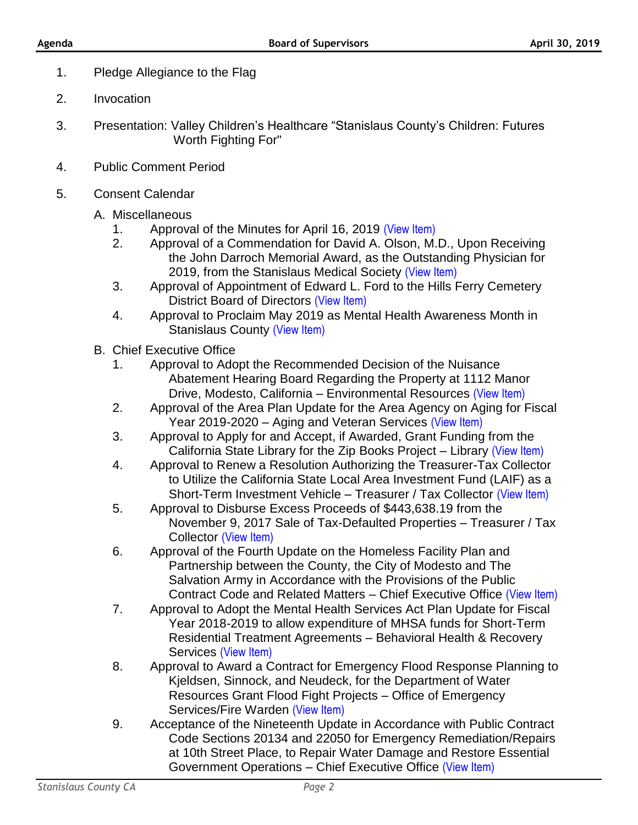- 1. Pledge Allegiance to the Flag
- 2. Invocation
- 3. Presentation: Valley Children's Healthcare "Stanislaus County's Children: Futures Worth Fighting For"
- 4. Public Comment Period
- 5. Consent Calendar
	- A. Miscellaneous
		- 1. Approval of the Minutes for April 16, 2019 [\(View Item\)](http://stancounty.com/bos/minutes/2019/min04-16-19.pdf)
		- 2. Approval of a Commendation for David A. Olson, M.D., Upon Receiving the John Darroch Memorial Award, as the Outstanding Physician for 2019, from the Stanislaus Medical Society [\(View Item\)](http://stancounty.com/bos/agenda/2019/20190430/A02.pdf)
		- 3. Approval of Appointment of Edward L. Ford to the Hills Ferry Cemetery District Board of Directors [\(View Item\)](http://stancounty.com/bos/agenda/2019/20190430/A03.pdf)
		- 4. Approval to Proclaim May 2019 as Mental Health Awareness Month in Stanislaus County [\(View Item\)](http://stancounty.com/bos/agenda/2019/20190430/A04.pdf)
	- B. Chief Executive Office
		- 1. Approval to Adopt the Recommended Decision of the Nuisance Abatement Hearing Board Regarding the Property at 1112 Manor Drive, Modesto, California – Environmental Resources [\(View Item\)](http://stancounty.com/bos/agenda/2019/20190430/B01.pdf)
		- 2. Approval of the Area Plan Update for the Area Agency on Aging for Fiscal Year 2019-2020 – Aging and Veteran Services [\(View Item\)](http://stancounty.com/bos/agenda/2019/20190430/B02.pdf)
		- 3. Approval to Apply for and Accept, if Awarded, Grant Funding from the California State Library for the Zip Books Project – Library [\(View Item\)](http://stancounty.com/bos/agenda/2019/20190430/B03.pdf)
		- 4. Approval to Renew a Resolution Authorizing the Treasurer-Tax Collector to Utilize the California State Local Area Investment Fund (LAIF) as a Short-Term Investment Vehicle – Treasurer / Tax Collector [\(View Item\)](http://stancounty.com/bos/agenda/2019/20190430/B04.pdf)
		- 5. Approval to Disburse Excess Proceeds of \$443,638.19 from the November 9, 2017 Sale of Tax-Defaulted Properties – Treasurer / Tax Collector [\(View Item\)](http://stancounty.com/bos/agenda/2019/20190430/B05.pdf)
		- 6. Approval of the Fourth Update on the Homeless Facility Plan and Partnership between the County, the City of Modesto and The Salvation Army in Accordance with the Provisions of the Public Contract Code and Related Matters – Chief Executive Office [\(View Item\)](http://stancounty.com/bos/agenda/2019/20190430/B06.pdf)
		- 7. Approval to Adopt the Mental Health Services Act Plan Update for Fiscal Year 2018-2019 to allow expenditure of MHSA funds for Short-Term Residential Treatment Agreements – Behavioral Health & Recovery Services [\(View Item\)](http://stancounty.com/bos/agenda/2019/20190430/B07.pdf)
		- 8. Approval to Award a Contract for Emergency Flood Response Planning to Kjeldsen, Sinnock, and Neudeck, for the Department of Water Resources Grant Flood Fight Projects – Office of Emergency Services/Fire Warden [\(View Item\)](http://stancounty.com/bos/agenda/2019/20190430/B08.pdf)
		- 9. Acceptance of the Nineteenth Update in Accordance with Public Contract Code Sections 20134 and 22050 for Emergency Remediation/Repairs at 10th Street Place, to Repair Water Damage and Restore Essential Government Operations – Chief Executive Office [\(View Item\)](http://stancounty.com/bos/agenda/2019/20190430/B09.pdf)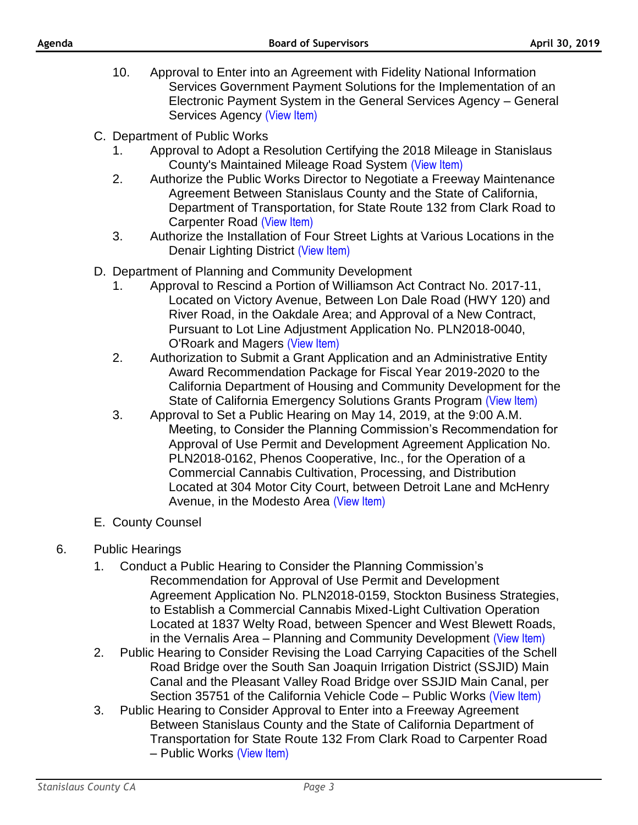- 10. Approval to Enter into an Agreement with Fidelity National Information Services Government Payment Solutions for the Implementation of an Electronic Payment System in the General Services Agency – General Services Agency [\(View Item\)](http://stancounty.com/bos/agenda/2019/20190430/B10.pdf)
- C. Department of Public Works
	- 1. Approval to Adopt a Resolution Certifying the 2018 Mileage in Stanislaus County's Maintained Mileage Road System [\(View Item\)](http://stancounty.com/bos/agenda/2019/20190430/C01.pdf)
	- 2. Authorize the Public Works Director to Negotiate a Freeway Maintenance Agreement Between Stanislaus County and the State of California, Department of Transportation, for State Route 132 from Clark Road to Carpenter Road [\(View Item\)](http://stancounty.com/bos/agenda/2019/20190430/C02.pdf)
	- 3. Authorize the Installation of Four Street Lights at Various Locations in the Denair Lighting District [\(View Item\)](http://stancounty.com/bos/agenda/2019/20190430/C03.pdf)
- D. Department of Planning and Community Development
	- 1. Approval to Rescind a Portion of Williamson Act Contract No. 2017-11, Located on Victory Avenue, Between Lon Dale Road (HWY 120) and River Road, in the Oakdale Area; and Approval of a New Contract, Pursuant to Lot Line Adjustment Application No. PLN2018-0040, O'Roark and Magers [\(View Item\)](http://stancounty.com/bos/agenda/2019/20190430/D01.pdf)
	- 2. Authorization to Submit a Grant Application and an Administrative Entity Award Recommendation Package for Fiscal Year 2019-2020 to the California Department of Housing and Community Development for the State of California Emergency Solutions Grants Program [\(View Item\)](http://stancounty.com/bos/agenda/2019/20190430/D02.pdf)
	- 3. Approval to Set a Public Hearing on May 14, 2019, at the 9:00 A.M. Meeting, to Consider the Planning Commission's Recommendation for Approval of Use Permit and Development Agreement Application No. PLN2018-0162, Phenos Cooperative, Inc., for the Operation of a Commercial Cannabis Cultivation, Processing, and Distribution Located at 304 Motor City Court, between Detroit Lane and McHenry Avenue, in the Modesto Area [\(View Item\)](http://stancounty.com/bos/agenda/2019/20190430/D03.pdf)
- E. County Counsel

## 6. Public Hearings

- 1. Conduct a Public Hearing to Consider the Planning Commission's Recommendation for Approval of Use Permit and Development Agreement Application No. PLN2018-0159, Stockton Business Strategies, to Establish a Commercial Cannabis Mixed-Light Cultivation Operation Located at 1837 Welty Road, between Spencer and West Blewett Roads, in the Vernalis Area - Planning and Community Development [\(View Item\)](http://stancounty.com/bos/agenda/2019/20190430/PH01.pdf)
- 2. Public Hearing to Consider Revising the Load Carrying Capacities of the Schell Road Bridge over the South San Joaquin Irrigation District (SSJID) Main Canal and the Pleasant Valley Road Bridge over SSJID Main Canal, per Section 35751 of the California Vehicle Code – Public Works [\(View Item\)](http://stancounty.com/bos/agenda/2019/20190430/PH02.pdf)
- 3. Public Hearing to Consider Approval to Enter into a Freeway Agreement Between Stanislaus County and the State of California Department of Transportation for State Route 132 From Clark Road to Carpenter Road – Public Works [\(View Item\)](http://stancounty.com/bos/agenda/2019/20190430/PH03.pdf)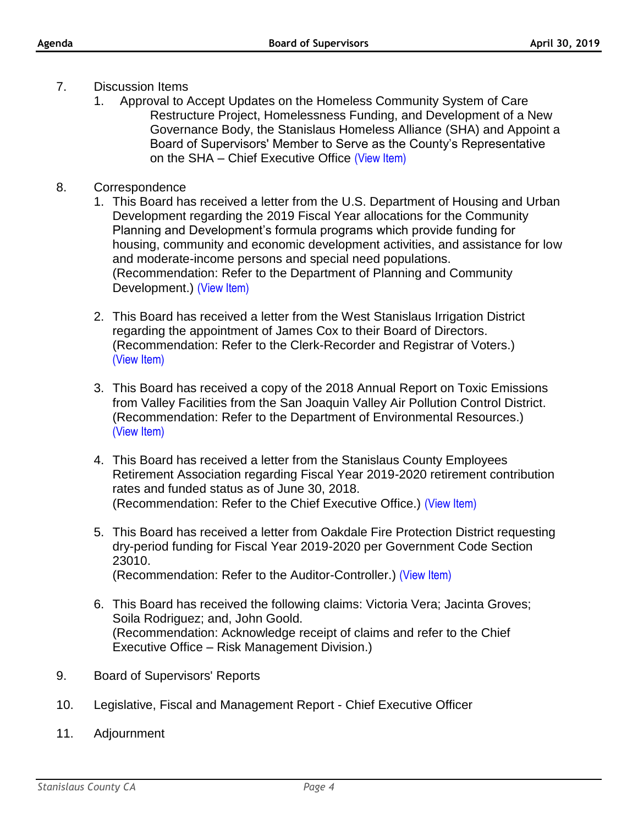- 7. Discussion Items
	- 1. Approval to Accept Updates on the Homeless Community System of Care Restructure Project, Homelessness Funding, and Development of a New Governance Body, the Stanislaus Homeless Alliance (SHA) and Appoint a Board of Supervisors' Member to Serve as the County's Representative on the SHA – Chief Executive Office [\(View Item\)](http://stancounty.com/bos/agenda/2019/20190430/DIS01.pdf)
- 8. Correspondence
	- 1. This Board has received a letter from the U.S. Department of Housing and Urban Development regarding the 2019 Fiscal Year allocations for the Community Planning and Development's formula programs which provide funding for housing, community and economic development activities, and assistance for low and moderate-income persons and special need populations. (Recommendation: Refer to the Department of Planning and Community Development.) [\(View Item\)](http://stancounty.com/bos/agenda/2019/20190430/Corr01.pdf)
	- 2. This Board has received a letter from the West Stanislaus Irrigation District regarding the appointment of James Cox to their Board of Directors. (Recommendation: Refer to the Clerk-Recorder and Registrar of Voters.) [\(View Item\)](http://stancounty.com/bos/agenda/2019/20190430/Corr02.pdf)
	- 3. This Board has received a copy of the 2018 Annual Report on Toxic Emissions from Valley Facilities from the San Joaquin Valley Air Pollution Control District. (Recommendation: Refer to the Department of Environmental Resources.) [\(View Item\)](http://stancounty.com/bos/agenda/2019/20190430/Corr03.pdf)
	- 4. This Board has received a letter from the Stanislaus County Employees Retirement Association regarding Fiscal Year 2019-2020 retirement contribution rates and funded status as of June 30, 2018. (Recommendation: Refer to the Chief Executive Office.) [\(View Item\)](http://stancounty.com/bos/agenda/2019/20190430/Corr04.pdf)
	- 5. This Board has received a letter from Oakdale Fire Protection District requesting dry-period funding for Fiscal Year 2019-2020 per Government Code Section 23010. (Recommendation: Refer to the Auditor-Controller.) [\(View Item\)](http://stancounty.com/bos/agenda/2019/20190430/Corr05.pdf)
	- 6. This Board has received the following claims: Victoria Vera; Jacinta Groves; Soila Rodriguez; and, John Goold. (Recommendation: Acknowledge receipt of claims and refer to the Chief Executive Office – Risk Management Division.)
- 9. Board of Supervisors' Reports
- 10. Legislative, Fiscal and Management Report Chief Executive Officer
- 11. Adjournment